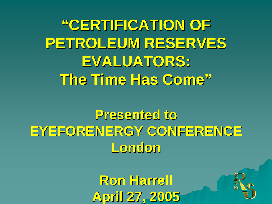**"CERTIFICATION OF CERTIFICATION OF**  PETROLEUM RESERVES **EVALUATORS: EVALUATORS: The Time Has Come The Time Has Come"**

**Presented to Presented to EYEFORENERGY CONFERENCE EYEFORENERGY CONFERENCE London** 

> **Ron Harrell Ron Harrell April 27, 2005 April 27, 2005**

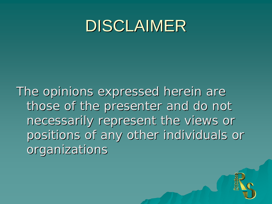### DISCLAIMER

The opinions expressed herein are those of the presenter and do not necessarily represent the views or necessarily represent the views or positions of any other individuals or organizations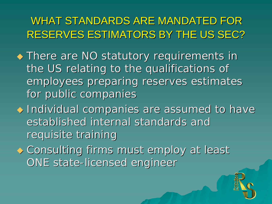WHAT STANDARDS ARE MANDATED FOR RESERVES ESTIMATORS BY THE US SEC? RESERVES ESTIMATORS BY THE US SEC?

- $\blacklozenge$  There are NO statutory requirements in the US relating to the qualifications of employees preparing reserves estimates for public companies
- $\blacklozenge$  Individual companies are assumed to have established internal standards and requisite training

3

 $\bullet$  Consulting firms must employ at least ONE state-licensed engineer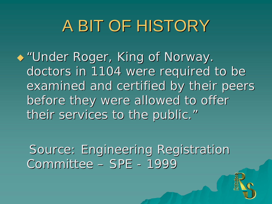# A BIT OF HISTORY

 $\rightarrow$  "Under Roger, King of Norway. doctors in 1104 were required to be examined and certified by their peers before they were allowed to offer their services to the public."

Source: Engineering Registration Committee – SPE - 1999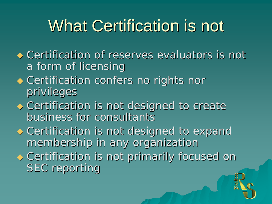# What Certification is not

- $\bullet$  Certification of reserves evaluators is not a form of licensing
- $\bullet$  Certification confers no rights nor privileges
- $\bullet$  Certification is not designed to create business for consultants
- $\bullet$  Certification is not designed to expand membership in any organization
- $\bullet$  Certification is not primarily focused on **SEC reporting**

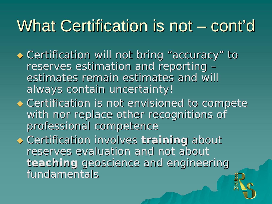#### What Certification is not  $\cdot$  cont ' $^{\prime}$ d

- ◆ Certification will not bring "accuracy" to reserves estimation and reporting  $\epsilon$ – estimates remain estimates and will always contain uncertainty!
- $\bullet$  Certification is not envisioned to compete with nor replace other recognitions of professional competence

ر

 $\rightarrow$  Certification involves *training* about reserves evaluation and not about *teaching* geoscience and engineering fundamentals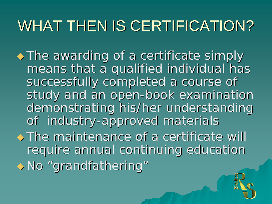# WHAT THEN IS CERTIFICATION?

- $\rightarrow$  The awarding of a certificate simply means that a qualified individual has successfully completed a course of study and an open-book examination demonstrating his/her understanding of industry-approved materials
- $\rightarrow$  The maintenance of a certificate will require annual continuing education  $\rightarrow$  No "grandfathering"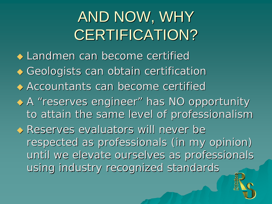# AND NOW, WHY CERTIFICATION?

 $\bullet$  Landmen can become certified  $\blacklozenge$  Geologists can obtain certification

 $\leftrightarrow$  Accountants can become certified

◆ A "reserves engineer" has NO opportunity to attain the same level of professionalism

 $\leftrightarrow$  Reserves evaluators will never be respected as professionals (in my opinion) until we elevate ourselves as professionals using industry recognized standards

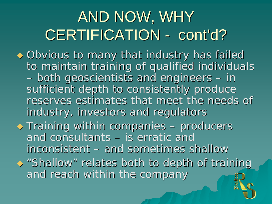#### AND NOW, WHY **CERTIFICATION** cont'd?

- $\bullet$  Obvious to many that industry has failed to maintain training of qualified individuals – $-$  both geoscientists and engineers  $\overline{\phantom{\phi}}$ – in sufficient depth to consistently produce reserves estimates that meet the needs of industry, investors and regulators
- $\blacklozenge$  Training within companies –– producers and consultants – is erratic and inconsistent – and sometimes shallow  $\leftrightarrow$  "Shallow " relates both to depth of training and reach within the company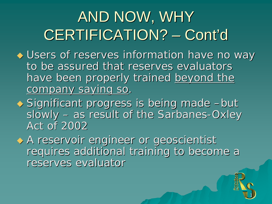#### AND NOW, WHY CERTIFICATION? Cont'd

- $\blacklozenge$  Users of reserves information have no way to be assured that reserves evaluators have been properly trained beyond the company saying so.
- ◆ Significant progress is being made -but slowly – as result of the Sarbanes-Oxley Act of 2002

 A reservoir engineer or geoscientist A reservoir engineer or geoscientist requires additional training to become a reserves evaluator

1 J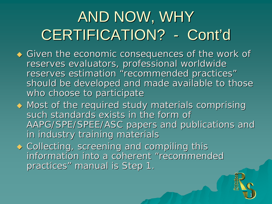#### AND NOW, WHY CERTIFICATION? Cont'd

- $\blacklozenge$  Given the economic consequences of the work of reserves evaluators, professional worldwide reserves estimation "recommended practices" should be developed and made available to those who choose to participate
- $\blacklozenge$  Most of the required study materials comprising such standards exists in the form of AAPG/SPE/SPEE/ASC papers and publications and in industry training materials

 $\mathbf 1$  .

 $\blacklozenge$  Collecting, screening and compiling this information into a coherent "recommended practices" manual is Step 1.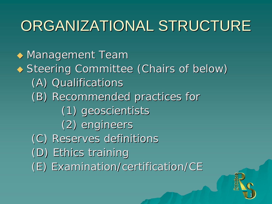### ORGANIZATIONAL STRUCTURE

 $\blacklozenge$  Management Team ◆ Steering Committee (Chairs of below) (A) Qualifications (A) Qualifications (B) Recommended practices for (B) Recommended practices for (1) geoscientists (1) geoscientists (2) engineers (2) engineers (C) Reserves definitions (C) Reserves definitions (D) Ethics training (D) Ethics training (E) Examination/certification/CE (E) Examination/certification/CE

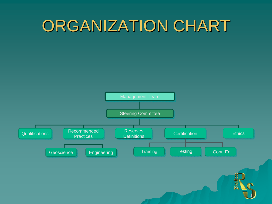# ORGANIZATION CHART

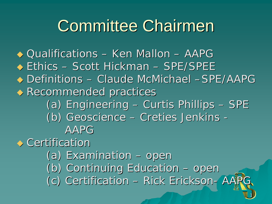# **Committee Chairmen**

◆ Qualifications – Ken Mallon – AAPG ◆ Ethics – Scott Hickman – SPE/SPEE ◆ Definitions – Claude McMichael –SPE/AAPG  $\blacklozenge$  Recommended practices (a) Engineering – $-$  Curtis Phillips  $\overline{\phantom{a}}$ – SPE (b) Geoscience (b) Geoscience – Creties Jenkins -AAPG $\leftrightarrow$  Certification

- (a) Examination – open (b) Continuing Education – open
- (c) Certification – Rick Erickson - AAPG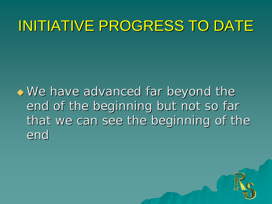### INITIATIVE PROGRESS TO DATE

 $\rightarrow$  We have advanced far beyond the end of the beginning but not so far that we can see the beginning of the end

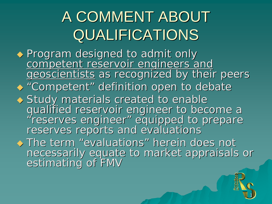# A COMMENT ABOUT **QUALIFICATIONS**

◆ Program designed to admit only competent reservoir engineers and<br>geoscientists as recognized by their peers  $\blacklozenge$  "Competent" definition open to debate ◆ Study materials created to enable Study materials created to enable<br>Study materials created to enable<br>qualified reservoir engineer to become a "reserves engineer" equipped to prepare<br>reserves reports and evaluations  $\rightarrow$  The term "evaluations" herein does not necessarily equate to market appraisals or<br>estimating of FMV

1 J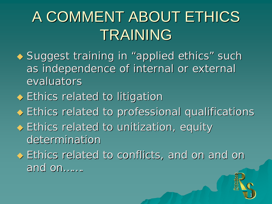# A COMMENT ABOUT ETHICS TRAINING

- ◆ Suggest training in "applied ethics" such as independence of internal or external evaluators
- $\blacklozenge$  Ethics related to litigation
- $\blacklozenge$  Ethics related to professional qualifications
- $\blacklozenge$  Ethics related to unitization, equity determination
- $\blacklozenge$  Ethics related to conflicts, and on and on and on…….

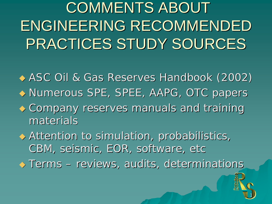COMMENTS ABOUT ENGINEERING RECOMMENDED PRACTICES STUDY SOURCES

◆ ASC Oil & Gas Reserves Handbook (2002) ◆ Numerous SPE, SPEE, AAPG, OTC papers  $\bullet$  Company reserves manuals and training materials  $\blacklozenge$  Attention to simulation, probabilistics, CBM, seismic, EOR, software, etc

 Terms –– reviews, audits, determinations

1 J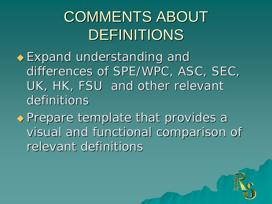# COMMENTS ABOUT DEFINITIONS

- $\bullet$  Expand understanding and differences of SPE/WPC, ASC, SEC, UK, HK, FSU and other relevant definitions
- Prepare template that provides a Prepare template that provides a visual and functional comparison of relevant definitions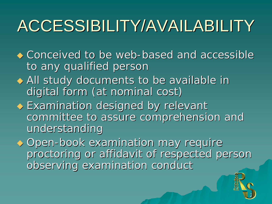# ACCESSIBILITY/AVAILABILITY

- $\leftrightarrow$  Conceived to be web-based and accessible to any qualified person
- All study documents to be available in digital form (at nominal cost)
- $\blacklozenge$  Examination designed by relevant committee to assure comprehension and understanding
- ◆ Open-book examination may require proctoring or affidavit of respected person observing examination conduct

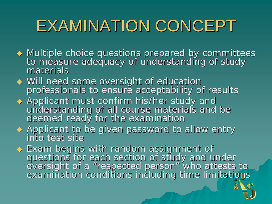# EXAMINATION CONCEPT

- $\blacklozenge$  Multiple choice questions prepared by committees<br>to measure adequacy of understanding of study<br>materials materials
- ◆ Will need some oversight of education professionals to ensure acceptability of results
- ◆ Applicant must confirm his/her study and understanding of all course materials and be<br>deemed ready for the examination
- $\blacklozenge$  Applicant to be given password to allow entry into test site into test site
- Exam begins with random assignment of ◆ Exam begins with random assignment of<br>questions for each section of study and under<br>oversight of a "respected person" who attests to examination conditions including time limitations

2.,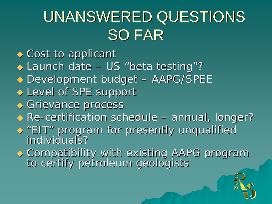# UNANSWERED QUESTIONS SO FAR

- $\bullet$  Cost to applicant
- ◆ Launch date US "beta testing" ?
- $\blacklozenge$  Development budget – AAPG/SPEE
- $\blacklozenge$  Level of SPE support
- ◆ Grievance process
- $\leftrightarrow$  Re-certification schedule -– annual, longer?
- $\leftrightarrow$  "EIT "EIT" program for presently unqualified<br>individuals? individuals?
- Compatibility with existing AAPG program to certify petroleum geologists

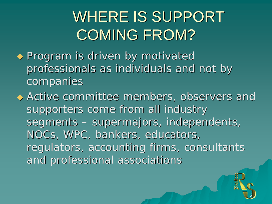# WHERE IS SUPPORT **COMING FROM?**

- $\blacklozenge$  Program is driven by motivated professionals as individuals and not by companies
- $\blacklozenge$  Active committee members, observers and supporters come from all industry segments : –– supermajors, independents, NOCs, WPC, bankers, educators, regulators, accounting firms, consultants and professional associations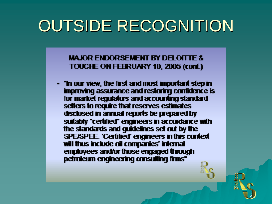# **OUTSIDE RECOGNITION**

**MAJOR ENDORSEMENT BY DELOITTE &** TOUCHE ON FEBRUARY 10, 2005 (cont.)

- "In our view, the first and most important step in improving assurance and restoring confidence is for market regulators and accounting standard setters to require that reserves estimates disclosed in annual reports be prepared by suitably "certified" engineers in accordance with the standards and guidelines set out by the SPE/SPEE. 'Certified' engineers in this context will thus include oil companies' internal employees and/or those engaged through petroleum engineering consulting frms"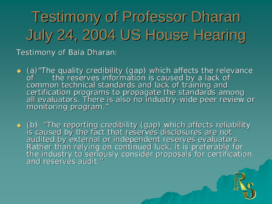# **Testimony of Professor Dharan** July 24, 2004 US House Hearing

Testimony of Bala Dharan:

- (a) "The quality credibility (gap) which affects the relevance<br>of the reserves information is caused by a lack of<br>common technical standards and lack of training and<br>certification programs to propagate the standards amon certification programs to propagate the standards among<br>all evaluators. There is also no industry-wide peer review or "
- $\leftrightarrow$  (b) audited by external or independent reserves evaluators.<br>Rather than relying on continued luck, it is preferable for<br>the industry to seriously consider proposals for certification and reserves audit. "

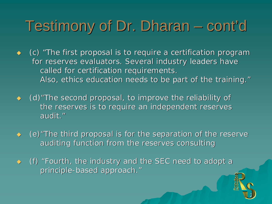#### Testimony of Dr. Dharan <sup>.</sup> cont'd

- (c) "The first proposal is to require a certification program for reserves evaluators. Several industry leaders have called for certification requirements. Also, ethics education needs to be part of the training."
- $\leftrightarrow$  (d) "The second proposal, to improve the reliability of the reserves is to require an independent reserves audit. "
- $\leftrightarrow$  (e) "The third proposal is for the separation of the reserve auditing function from the reserves consulting
- $\leftrightarrow$  (f) "Fourth, the industry and the SEC need to adopt a principle-based approach."

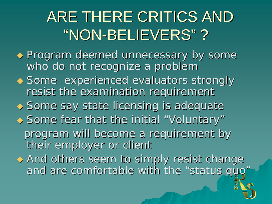#### ARE THERE CRITICS AND "NON-BELIEVERS" ?

- $\leftrightarrow$  Program deemed unnecessary by some who do not recognize a problem
- $\leftrightarrow$  Some experienced evaluators strongly resist the examination requirement

 $\blacklozenge$  Some say state licensing is adequate

- ◆ Some fear that the initial "Voluntary" program will become a requirement by their employer or client
- $\leftrightarrow$  And others seem to simply resist change and are comfortable with the "status quo"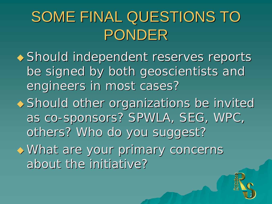# SOME FINAL QUESTIONS TO PONDER

- Should independent reserves reports be signed by both geoscientists and be signed by both geoscientists and engineers in most cases?
- $\rightarrow$  Should other organizations be invited as co-sponsors? SPWLA, SEG, WPC, others? Who do you suggest?

28

What are your primary concerns about the initiative?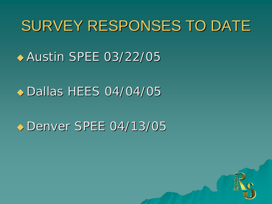### SURVEY RESPONSES TO DATE

#### $\leftrightarrow$  Austin SPEE 03/22/05

#### $\rightarrow$  Dallas HEES 04/04/05

#### Denver SPEE 04/13/05

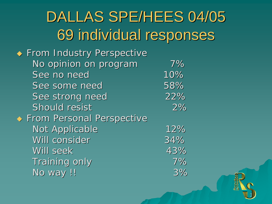## DALLAS SPE/HEES 04/05 69 individual responses 69 individual responses

30

 $\blacklozenge$  From Industry Perspective No opinion on program 7% See no need 10% See some need 58% See strong need 22% Should resist 2%  $\blacklozenge$  From Personal Perspective Not Applicable 12% Will consider 34% Will seek Will seek 43%Training only 7% No way !! 3%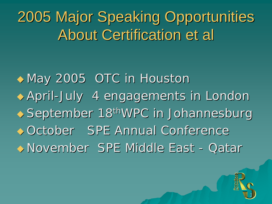2005 Major Speaking Opportunities 2005 Major Speaking Opportunities **About Certification et al.** 

 $\rightarrow$  May 2005 OTC in Houston April -July 4 engagements in London July 4 engagements in London September 18<sup>th</sup>WPC in Johannesburg ◆ October SPE Annual Conference ◆ November SPE Middle East - Qatar

3,